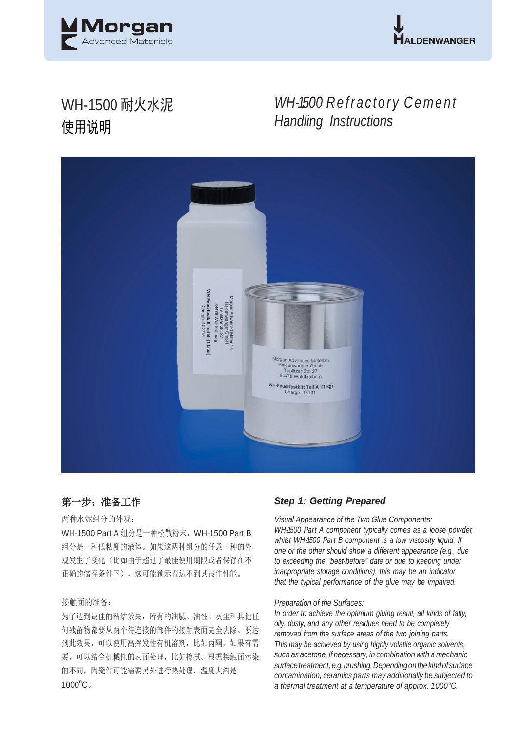



# WH-1500 耐火水泥 使用说明

# *WH-1500 R e fr a ct or y C e m e n t Handling Instructions*



# 第一步: 准备工作

## 两种水泥组分的外观:

WH-1500 Part A 组分是一种松散粉末,WH-1500 Part B 组分是一种低粘度的液体。如果这两种组分的任意一种的外 观发生了变化(比如由于超过了最佳使用期限或者保存在不 正确的储存条件下),这可能预示着达不到其最佳性能。

## 接触面的准备:

为了达到最佳的粘结效果,所有的油腻、油性、灰尘和其他任 何残留物都要从两个待连接的部件的接触表面完全去除。要达 到此效果,可以使用高挥发性有机溶剂,比如丙酮,如果有需 要,可以结合机械性的表面处理,比如擦拭。根据接触面污染 的不同,陶瓷件可能需要另外进行热处理,温度大约是  $1000^{\circ}$ C。

## *Step 1: Getting Prepared*

*Visual Appearance of the Two Glue Components: WH-1500 Part A component typically comes as a loose powder, whilst WH-1500 Part B component is a low viscosity liquid. If one or the other should show a different appearance (e.g., due to exceeding the "best-before" date or due to keeping under inappropriate storage conditions), this may be an indicator that the typical performance of the glue may be impaired.*

#### *Preparation of the Surfaces:*

*In order to achieve the optimum gluing result, all kinds of fatty, oily, dusty, and any other residues need to be completely removed from the surface areas of the two joining parts. This may be achieved by using highly volatile organic solvents, such as acetone, if necessary, in combination with a mechanic surfacetreatment, e.g.brushing.Dependingonthe kindof surface contamination, ceramics parts may additionally be subjected to a thermal treatment at a temperature of approx. 1,000°C.*